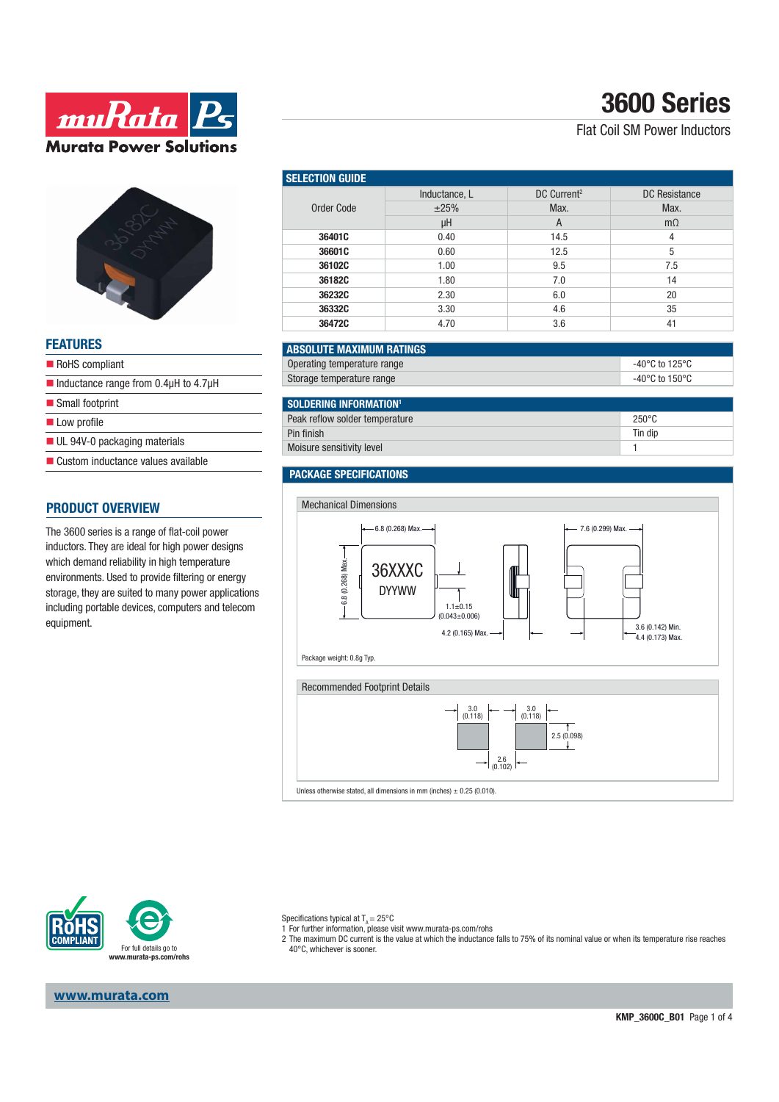



### **FEATURES**

| RoHS compliant                                                      |  |
|---------------------------------------------------------------------|--|
| $\blacksquare$ Inductance range from 0.4 $\upmu$ H to 4.7 $\upmu$ H |  |
| ■ Small footprint                                                   |  |
| Low profile                                                         |  |
| $\blacksquare$ UL 94V-0 packaging materials                         |  |
| ■ Custom inductance values available                                |  |

### **PRODUCT OVERVIEW**

The 3600 series is a range of flat-coil power inductors. They are ideal for high power designs which demand reliability in high temperature environments. Used to provide filtering or energy storage, they are suited to many power applications including portable devices, computers and telecom equipment.

| <b>Selection Guide</b> |               |                         |               |  |  |
|------------------------|---------------|-------------------------|---------------|--|--|
| Order Code             | Inductance, L | DC Current <sup>2</sup> | DC Resistance |  |  |
|                        | ±25%          | Max.                    | Max.          |  |  |
|                        | μH            | A                       | $m\Omega$     |  |  |
| 36401C                 | 0.40          | 14.5                    | 4             |  |  |
| 36601C                 | 0.60          | 12.5                    | 5             |  |  |
| 36102C                 | 1.00          | 9.5                     | 7.5           |  |  |
| 36182C                 | 1.80          | 7.0                     | 14            |  |  |
| 36232C                 | 2.30          | 6.0                     | 20            |  |  |
| 36332C                 | 3.30          | 4.6                     | 35            |  |  |
| 36472C                 | 4.70          | 3.6                     | 41            |  |  |

#### **ABSOLUTE MAXIMUM RATINGS** Operating temperature range  $\overline{C}$  -40°C to 125°C Storage temperature range  $-40^{\circ}$ C to  $150^{\circ}$ C

| $\blacksquare$ SOLDERING INFORMATION <sup>1</sup> |                 |
|---------------------------------------------------|-----------------|
| Peak reflow solder temperature                    | $250^{\circ}$ C |
| Pin finish                                        | Tin dip         |
| Moisure sensitivity level                         |                 |

#### **PACKAGE SPECIFICATIONS**



Unless otherwise stated, all dimensions in mm (inches)  $\pm$  0.25 (0.010).



**www.murata.com**

Specifications typical at  $T_a = 25^{\circ}$ C

1 For further information, please visit www.murata-ps.com/rohs

2 The maximum DC current is the value at which the inductance falls to 75% of its nominal value or when its temperature rise reaches 40°C, whichever is sooner.

# **3600 Series**

### Flat Coil SM Power Inductors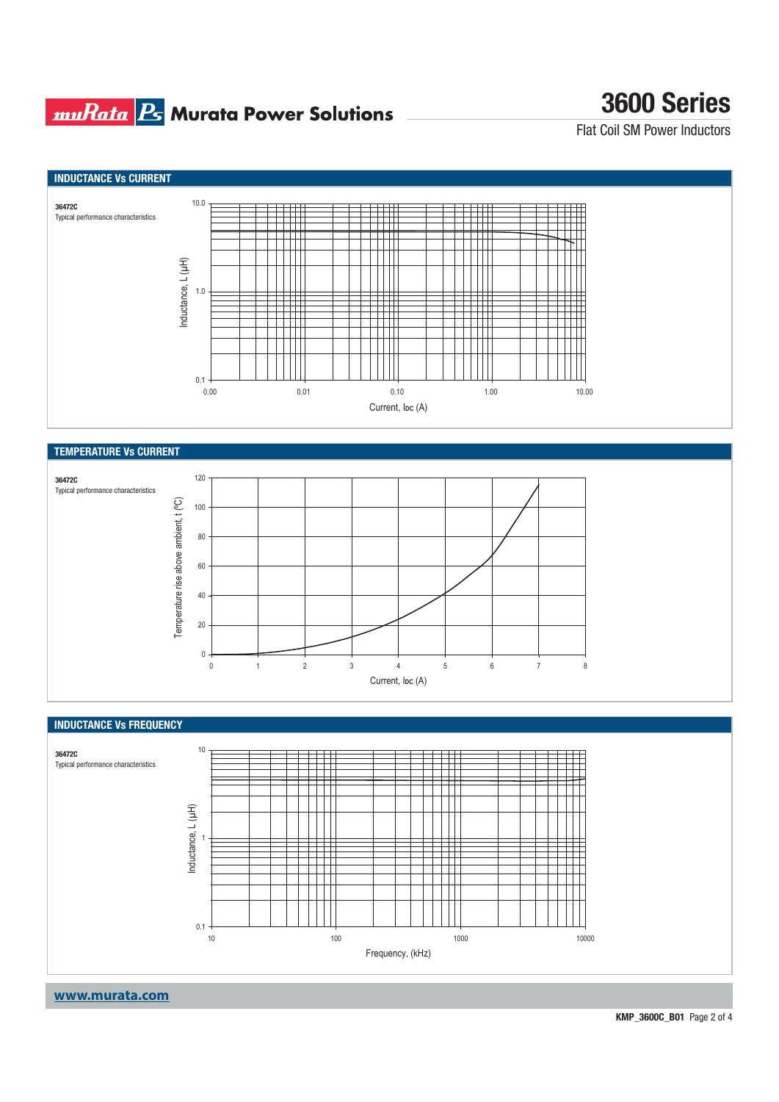## **muRata B** Murata Power Solutions

## **3600 Series**

Flat Coil SM Power Inductors



#### **INDUCTANCE Vs FREQUENCY**

 $\mathbf{0}$ 



012345678 Current, I<sub>DC</sub> (A)

**www.murata.com**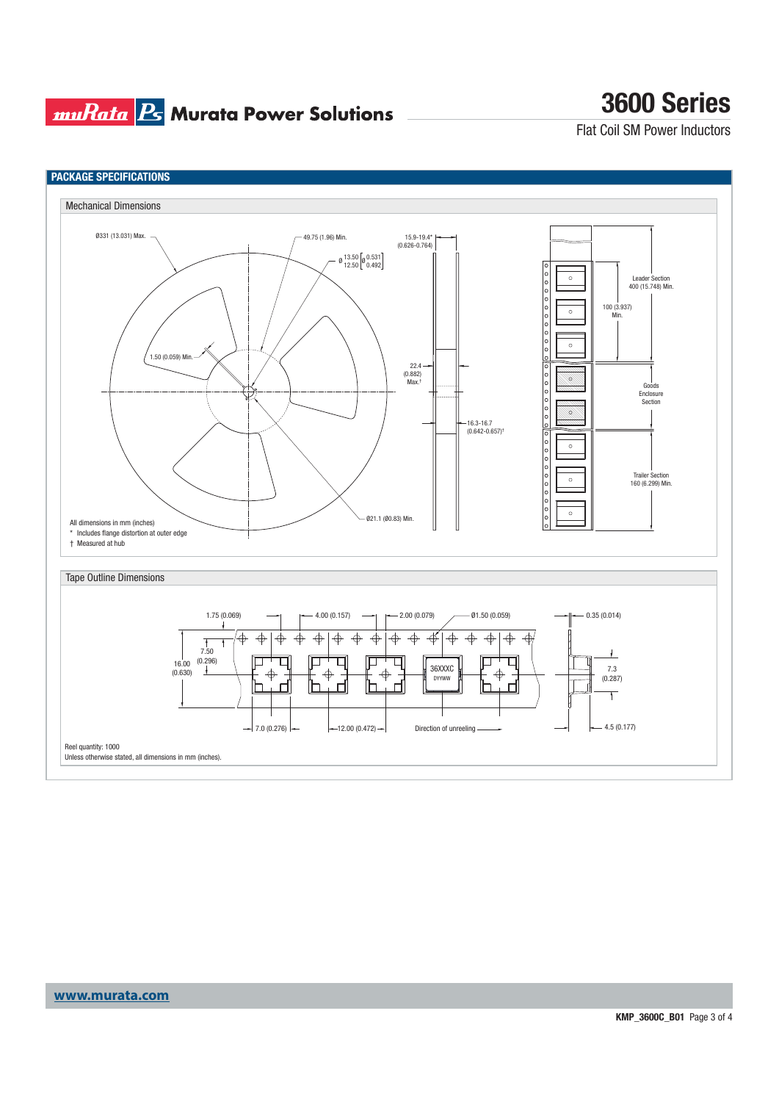### **muRata Ps** Murata Power Solutions

# **3600 Series**

Flat Coil SM Power Inductors